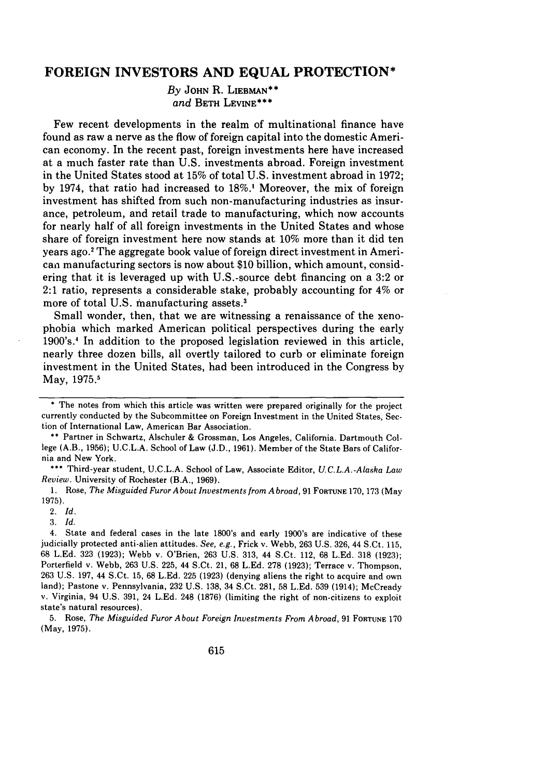# **FOREIGN INVESTORS AND EQUAL PROTECTION\***

*By* **JOHN** R. **LIEBMAN\*\*** *and* BETH **LEVINE\*\*\***

Few recent developments in the realm of multinational finance have found as raw a nerve as the flow of foreign capital into the domestic American economy. In the recent past, foreign investments here have increased at a much faster rate than **U.S.** investments abroad. Foreign investment in the United States stood at **15%** of total **U.S.** investment abroad in **1972; by** 1974, that ratio had increased to **18%.1** Moreover, the mix of foreign investment has shifted from such non-manufacturing industries as insurance, petroleum, and retail trade to manufacturing, which now accounts for nearly half of all foreign investments in the United States and whose share of foreign investment here now stands at 10% more than it did ten years ago.' The aggregate book value of foreign direct investment in American manufacturing sectors is now about \$10 billion, which amount, considering that it is leveraged up with U.S.-source debt financing on a 3:2 or 2:1 ratio, represents a considerable stake, probably accounting for 4% or more of total U.S. manufacturing assets.'

Small wonder, then, that we are witnessing a renaissance of the xenophobia which marked American political perspectives during the early 1900's.' In addition to the proposed legislation reviewed in this article, nearly three dozen bills, all overtly tailored to curb or eliminate foreign investment in the United States, had been introduced in the Congress by May, 1975.<sup>5</sup>

\*\* Partner in Schwartz, Alschuler & Grossman, Los Angeles, California. Dartmouth College (A.B., 1956); U.C.L.A. School of Law (J.D., 1961). Member of the State Bars of California and New York.

**\*\*\*** Third-year student, U.C.L.A. School of Law, Associate Editor, *U.C.L.A.-Alaska Law Review.* University of Rochester (B.A., 1969).

**1.** Rose, *The Misguided Furor A bout Investments from A broad,* 91 **FORTUNE** 170, 173 (May 1975).

3. Id.

4. State and federal cases in the late 1800's and early 1900's are indicative of these judicially protected anti-alien attitudes. *See, e.g.,* Frick v. Webb, 263 U.S. 326, 44 S.Ct. 115, 68 L.Ed. 323 (1923); Webb v. O'Brien, 263 U.S. 313, 44 S.Ct. 112, 68 L.Ed. 318 (1923); Porterfield v. Webb, 263 U.S. 225, 44 S.Ct. 21, 68 L.Ed. 278 (1923); Terrace v. Thompson, 263 U.S. 197, 44 S.Ct. 15, 68 L.Ed. 225 (1923) (denying aliens the right to acquire and own land); Pastone v. Pennsylvania, 232 U.S. 138, 34 S.Ct. 281, 58 L.Ed. 539 (1914); McCready v. Virginia, 94 U.S. 391, 24 L.Ed. 248 (1876) (limiting the right of non-citizens to exploit state's natural resources).

5. Rose, *The Misguided Furor About Foreign Investments From Abroad,* 91 FORTUNE 170 (May, 1975).

<sup>\*</sup> The notes from which this article was written were prepared originally for the project currently conducted by the Subcommittee on Foreign Investment in the United States, Section of International Law, American Bar Association.

<sup>2.</sup> *Id.*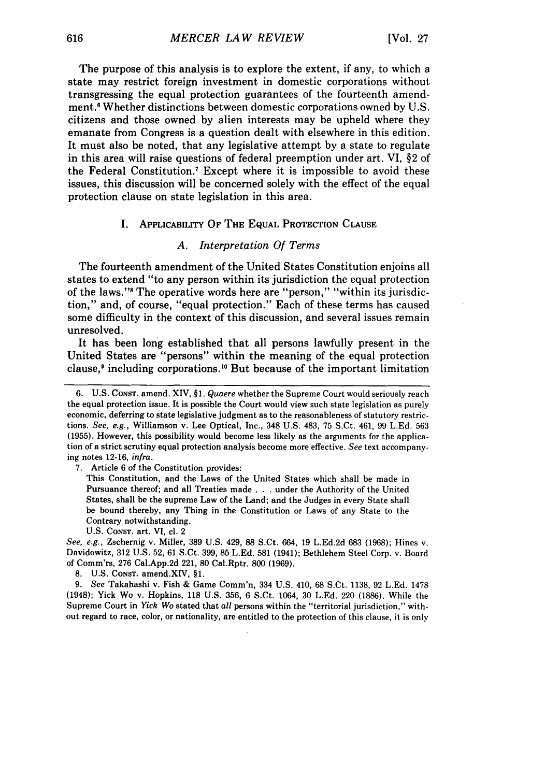The purpose of this analysis is to explore the extent, if any, to which a state may restrict foreign investment in domestic corporations without transgressing the equal protection guarantees of the fourteenth amendment.' Whether distinctions between domestic corporations owned by U.S. citizens and those owned by alien interests may be upheld where they emanate from Congress is a question dealt with elsewhere in this edition. It must also be noted, that any legislative attempt by a state to regulate in this area will raise questions of federal preemption under art. VI, §2 of the Federal Constitution.7 Except where it is impossible to avoid these issues, this discussion will be concerned solely with the effect of the equal protection clause on state legislation in this area.

## **I.** APPLICABILITY OF THE EQUAL PROTECTION CLAUSE

# *A. Interpretation Of Terms*

The fourteenth amendment of the United States Constitution enjoins all states to extend "to any person within its jurisdiction the equal protection of the laws."' The operative words here are "person," "within its jurisdiction," and, of course, "equal protection." Each of these terms has caused some difficulty in the context of this discussion, and several issues remain unresolved.

It has been long established that all persons lawfully present in the United States are "persons" within the meaning of the equal protection clause,9 including corporations." But because of the important limitation

7. Article 6 of the Constitution provides:

This Constitution, and the Laws of the United States which shall be made in Pursuance thereof; and all Treaties made . . . under the Authority of the United States, shall be the supreme Law of the Land; and the Judges in every State shall be bound thereby, any Thing in the Constitution or Laws of any State to the Contrary notwithstanding.

U.S. CONST. art. VI, cl. 2

*See, e.g.,* Zschernig v. Miller, 389 U.S. 429, 88 S.Ct. 664, 19 L.Ed.2d 683 (1968); Hines v. Davidowitz, 312 U.S. 52, 61 S.Ct. 399, 85 L.Ed. 581 (1941); Bethlehem Steel Corp. v. Board of Comm'rs, 276 Cal.App.2d 221, 80 Cal.Rptr. 800 (1969).

8. U.S. CONsT. amend.XIV, **§1.**

*9. See* Takahashi v. Fish & Game Comm'n, 334 U.S. 410, 68 S.Ct. 1138, 92 L.Ed. 1478 (1948); Yick Wo v. Hopkins, 118 U.S. 356, 6 S.Ct. 1064, 30 L.Ed. 220 (1886). While the Supreme Court in *Yick* Wo stated that *all* persons within the "territorial jurisdiction," without regard to race, color, or nationality, are entitled to the protection of this clause, it is only

<sup>6.</sup> U.S. CoNST. amend. XIV, §1. *Quaere* whether the Supreme Court would seriously reach the equal protection issue. It is possible the Court would view such state legislation as purely economic, deferring to state legislative judgment as to the reasonableness of statutory restrictions. *See, e.g.,* Williamson v. Lee Optical, Inc., 348 U.S. 483, 75 S.Ct. 461, 99 L.Ed. 563 (1955). However, this possibility would become less likely as the arguments for the application of a strict scrutiny equal protection analysis become more effective, *See* text accompanying notes 12-16, *infra.*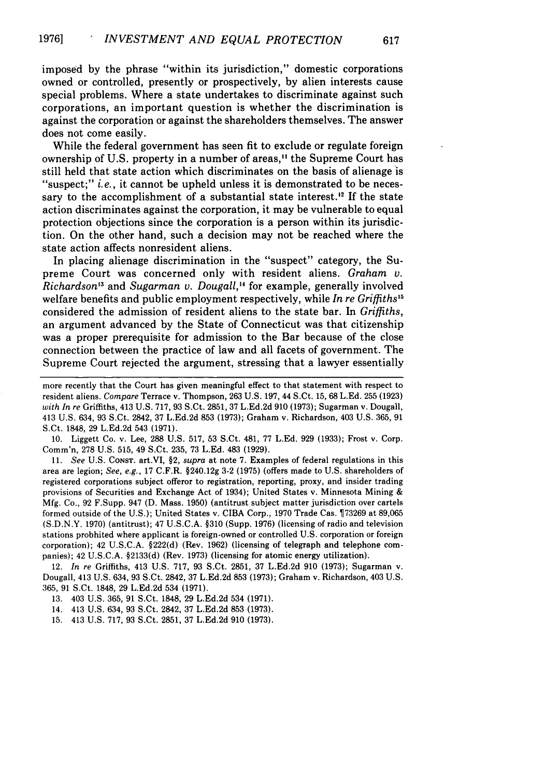imposed **by** the phrase "within its jurisdiction," domestic corporations owned or controlled, presently or prospectively, **by** alien interests cause special problems. Where a state undertakes to discriminate against such corporations, an important question is whether the discrimination is against the corporation or against the shareholders themselves. The answer does not come easily.

While the federal government has seen fit to exclude or regulate foreign ownership of **U.S.** property in a number of areas," the Supreme Court has still held that state action which discriminates on the basis of alienage is "suspect;" *i.e.*, it cannot be upheld unless it is demonstrated to be necessary to the accomplishment of a substantial state interest.<sup>12</sup> If the state action discriminates against the corporation, it may be vulnerable to equal protection objections since the corporation is a person within its jurisdiction. On the other hand, such a decision may not be reached where the state action affects nonresident aliens.

In placing alienage discrimination in the "suspect" category, the Supreme Court was concerned only with resident aliens. *Graham v. Richardson*<sup>13</sup> and *Sugarman v. Dougall*,<sup>14</sup> for example, generally involved welfare benefits and public employment respectively, while *In re Griffiths <sup>5</sup>* considered the admission of resident aliens to the state bar. In *Griffiths,* an argument advanced **by** the State of Connecticut was that citizenship was a proper prerequisite for admission to the Bar because of the close connection between the practice of law and all facets of government. The Supreme Court rejected the argument, stressing that a lawyer essentially

more recently that the Court has given meaningful effect to that statement with respect to resident aliens. *Compare* Terrace v. Thompson, **263 U.S. 197,** 44 S.Ct. **15, 68 L.Ed. 255 (1923)** *with In re* Griffiths, 413 **U.S. 717, 93** S.Ct. **2851, 37 L.Ed.2d 910 (1973);** Sugarman v. Dougall, 413 **U.S.** 634, **93** S.Ct. 2842, **37 L.Ed.2d 853 (1973);** Graham v. Richardson, 403 **U.S. 365, 91** S.Ct. **1848, 29 L.Ed.2d** 543 **(1971).**

**10.** Liggett Co. v. Lee, **288 U.S. 517, 53** S.Ct. 481, **77 L.Ed. 929 (1933);** Frost v. Corp. Comm'n, **278 U.S. 515,** 49 S.Ct. **235, 73 L.Ed.** 483 **(1929).**

**11.** *See* **U.S. CONST.** art.VI, §2, *supra* at note **7.** Examples of federal regulations in this area are legion; *See, e.g.,* **17** C.F.R. **§240.12g 3-2 (1975)** (offers made to **U.S.** shareholders of registered corporations subject offeror to registration, reporting, proxy, and insider trading provisions of Securities and Exchange Act of 1934); United States v. Minnesota Mining **& Mfg.** Co., **92** F.Supp. 947 **(D.** Mass. **1950)** (antitrust subject matter jurisdiction over cartels formed outside of the **U.S.);** United States v. CIBA Corp., **1970** Trade Cas. **73269** at **89,065 (S.D.N.Y. 1970)** (antitrust); 47 **U.S.C.A. §310** (Supp. **1976)** (licensing of radio and television stations probhited where applicant is foreign-owned or controlled **U.S.** corporation or foreign corporation); 42 **U.S.C.A. §222(d)** (Rev. **1962)** (licensing of telegraph and telephone companies); 42 **U.S.C.A. §2133(d)** (Rev. **1973)** (licensing for atomic energy utilization).

12. In *re* Griffiths, 413 **U.S. 717, 93** S.Ct. **2851, 37 L.Ed.2d 910 (1973);** Sugarman v. Dougall, 413 **U.S.** 634, **93** S.Ct. 2842, **37 L.Ed.2d 853 (1973);** Graham v. Richardson, 403 **U.S. 365, 91** S.Ct. **1848, 29 L.Ed.2d** 534 **(1971).**

**13.** 403 **U.S. 365, 91** S.Ct. **1848, 29 L.Ed.2d** 534 **(1971).**

14. 413 **U.S.** 634, **93** S.Ct. 2842, **37 L.Ed.2d 853 (1973).**

**15.** 413 **U.S. 717, 93** S.Ct. **2851, 37 L.Ed.2d 910 (1973).**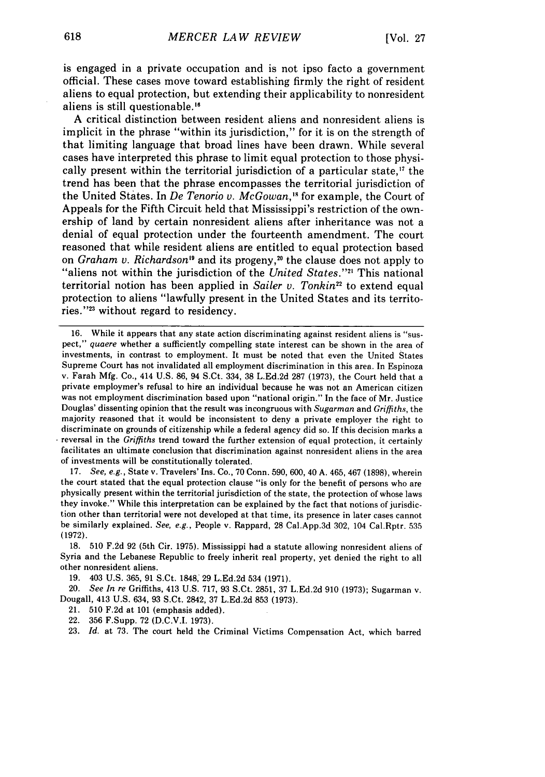is engaged in a private occupation and is not ipso facto a government official. These cases move toward establishing firmly the right of resident aliens to equal protection, but extending their applicability to nonresident aliens is still questionable.<sup>16</sup>

A critical distinction between resident aliens and nonresident aliens is implicit in the phrase "within its jurisdiction," for it is on the strength of that limiting language that broad lines have been drawn. While several cases have interpreted this phrase to limit equal protection to those physically present within the territorial jurisdiction of a particular state,<sup>17</sup> the trend has been that the phrase encompasses the territorial jurisdiction of the United States. In *De Tenorio v. McGowan,"* for example, the Court of Appeals for the Fifth Circuit held that Mississippi's restriction of the ownership of land by certain nonresident aliens after inheritance was not a denial of equal protection under the fourteenth amendment. The court reasoned that while resident aliens are entitled to equal protection based on *Graham v. Richardson*<sup>19</sup> and its progeny,<sup>20</sup> the clause does not apply to "aliens not within the jurisdiction of the *United States.*"<sup>21</sup> This national territorial notion has been applied in *Sailer v. Tonkin<sup>22</sup>* to extend equal protection to aliens "lawfully present in the United States and its territories."<sup>23</sup> without regard to residency.

16. While it appears that any state action discriminating against resident aliens is "suspect," quaere whether a sufficiently compelling state interest can be shown in the area of investments, in contrast to employment. It must be noted that even the United States Supreme Court has not invalidated all employment discrimination in this area. In Espinoza v. Farah Mfg. Co., 414 U.S. 86, 94 S.Ct. 334, 38 L.Ed.2d 287 (1973), the Court held that a private employmer's refusal to hire an individual because he was not an American citizen was not employment discrimination based upon "national origin." In the face of Mr. Justice Douglas' dissenting opinion that the result was incongruous with *Sugarman* and *Griffiths,* the majority reasoned that it would be inconsistent to deny a private employer the right to discriminate on grounds of citizenship while a federal agency did so. If this decision marks a reversal in the *Griffiths* trend toward the further extension of equal protection, it certainly facilitates an ultimate conclusion that discrimination against nonresident aliens in the area of investments will be constitutionally tolerated.

17. *See, e.g.,* State v. Travelers' Ins. Co., 70 Conn. 590, 600, 40 A. 465, 467 (1898), wherein the court stated that the equal protection clause "is only for the benefit of persons who are physically present within the territorial jurisdiction of the state, the protection of whose laws they invoke." While this interpretation can be explained by the fact that notions of jurisdiction other than territorial were not developed at that time, its presence in later cases cannot be similarly explained. *See, e.g.,* People v. Rappard, 28 Cal.App.3d 302, 104 Cal.Rptr. 535 (1972).

18. 510 F.2d 92 (5th Cir. 1975). Mississippi had a statute allowing nonresident aliens of Syria and the Lebanese Republic to freely inherit real property, yet denied the right to all other nonresident aliens.

19. 403 U.S. 365, 91 S.Ct. 1848, 29 L.Ed.2d 534 (1971).

20. *See In re* Griffiths, 413 U.S. 717, 93 S.Ct. 2851, 37 L.Ed.2d 910 (1973); Sugarman v. Dougall, 413 U.S. 634, 93 S.Ct. 2842, 37 L.Ed.2d 853 (1973).

21. 510 F.2d at 101 (emphasis added).

22. 356 F.Supp. 72 (D.C.V.I. 1973).

23. *Id.* at 73. The court held the Criminal Victims Compensation Act, which barred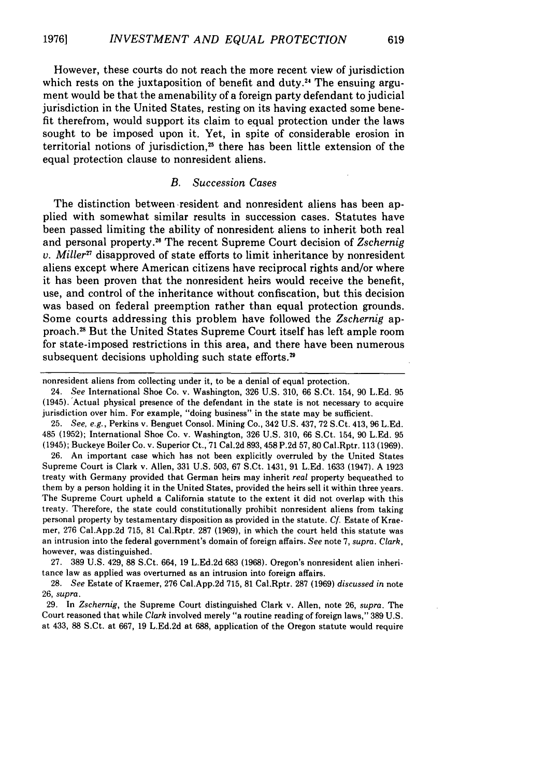However, these courts do not reach the more recent view of jurisdiction which rests on the juxtaposition of benefit and duty.<sup>24</sup> The ensuing argument would be that the amenability of a foreign party defendant to judicial jurisdiction in the United States, resting on its having exacted some benefit therefrom, would support its claim to equal protection under the laws sought to be imposed upon it. Yet, in spite of considerable erosion in territorial notions of jurisdiction,<sup>25</sup> there has been little extension of the equal protection clause to nonresident aliens.

## *B. Succession Cases*

The distinction between -resident and nonresident aliens has been applied with somewhat similar results in succession cases. Statutes have been passed limiting the ability of nonresident aliens to inherit both real and personal property." The recent Supreme Court decision of *Zschernig v. Miller"* disapproved of state efforts to limit inheritance by nonresident aliens except where American citizens have reciprocal rights and/or where it has been proven that the nonresident heirs would receive the benefit, use, and control of the inheritance without confiscation, but this decision was based on federal preemption rather than equal protection grounds. Some courts addressing this problem have followed the *Zschernig* approach.<sup>28</sup> But the United States Supreme Court itself has left ample room for state-imposed restrictions in this area, and there have been numerous subsequent decisions upholding such state efforts.<sup>29</sup>

nonresident aliens from collecting under it, to be a denial of equal protection.

24. *See* International Shoe Co. v. Washington, 326 U.S. 310, 66 S.Ct. 154, 90 L.Ed. 95 (1945). Actual physical presence of the defendant in the state is not necessary to acquire jurisdiction over him. For example, "doing business" in the state may be sufficient.

25. *See, e.g.,* Perkins v. Benguet Consol. Mining Co., 342 U.S. 437, 72 S.Ct. 413, 96 L.Ed. 485 (1952); International Shoe Co. v. Washington, 326 U.S. 310, 66 S.Ct. 154, 90 L.Ed. 95 (1945); Buckeye Boiler Co. v. Superior Ct., 71 Cal.2d 893, 458 P.2d 57, 80 Cal.Rptr. 113 (1969).

26. An important case which has not been explicitly overruled by the United States Supreme Court is Clark v. Allen, 331 U.S. 503, 67 S.Ct. 1431, 91 L.Ed. 1633 (1947). A 1923 treaty with Germany provided that German heirs may inherit *real* property bequeathed to them by a person holding it in the United States, provided the heirs sell it within three years. The Supreme Court upheld a California statute to the extent it did not overlap with this treaty. Therefore, the state could constitutionally prohibit nonresident aliens from taking personal property by testamentary disposition as provided in the statute. *Cf.* Estate of Kraemer, 276 Cal.App.2d 715, 81 Cal.Rptr. 287 (1969), in which the court held this statute was an intrusion into the federal government's domain of foreign affairs. *See* note 7, *supra. Clark,* however, was distinguished.

27. 389 U.S. 429, 88 S.Ct. 664, 19 L.Ed.2d 683 (1968). Oregon's nonresident alien inheritance law as applied was overturned as an intrusion into foreign affairs.

28. *See* Estate of Kraemer, 276 CaI.App.2d 715, 81 Cal.Rptr. 287 (1969) *discussed in* note 26, *supra.*

29. In *Zschernig,* the Supreme Court distinguished Clark v. Allen, note 26, *supra.* The Court reasoned that while *Clark* involved merely "a routine reading of foreign laws," 389 U.S. at 433, 88 S.Ct. at 667, 19 L.Ed.2d at 688, application of the Oregon statute would require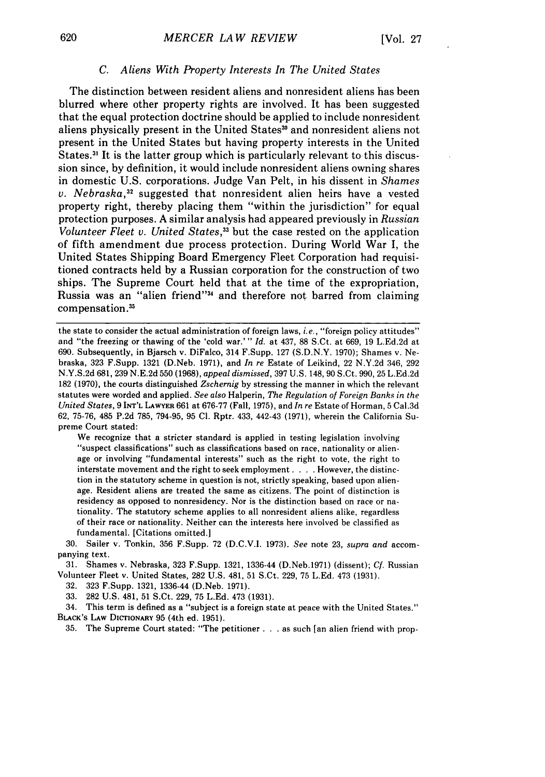#### *C. Aliens With Property Interests In The United States*

The distinction between resident aliens and nonresident aliens has been blurred where other property rights are involved. It has been suggested that the equal protection doctrine should be applied to include nonresident aliens physically present in the United States<sup>30</sup> and nonresident aliens not present in the United States but having property interests in the United States.<sup>31</sup> It is the latter group which is particularly relevant to this discussion since, by definition, it would include nonresident aliens owning shares in domestic U.S. corporations. Judge Van Pelt, in his dissent in *Shames* v. Nebraska,<sup>32</sup> suggested that nonresident alien heirs have a vested property right, thereby placing them "within the jurisdiction" for equal protection purposes. A similar analysis had appeared previously in *Russian Volunteer Fleet v. United States,33* but the case rested on the application of fifth amendment due process protection. During World War I, the United States Shipping Board Emergency Fleet Corporation had requisitioned contracts held by a Russian corporation for the construction of two ships. The Supreme Court held that at the time of the expropriation, Russia was an "alien friend"<sup>34</sup> and therefore not barred from claiming compensation **.31**

the state to consider the actual administration of foreign laws, *i.e.,* "foreign policy attitudes" and "the freezing or thawing of the 'cold war.'" *Id.* at 437, 88 S.Ct. at 669, 19 L.Ed.2d at 690. Subsequently, in Bjarsch v. DiFalco, 314 F.Supp. 127 (S.D.N.Y. 1970); Shames v. Nebraska, 323 F.Supp. 1321 (D.Neb. 1971), and *In* re Estate of Leikind, 22 N.Y.2d 346, 292 N.Y.S.2d 681,239 N.E.2d 550 (1968), *appeal dismissed,* 397 U.S. 148, 90 S.Ct. 990, 25 L.Ed.2d 182 (1970), the courts distinguished *Zschernig* by stressing the manner in which the relevant statutes were worded and applied. *See also* Halperin, *The Regulation of Foreign Banks in the United States,* 9 **INT'L** LAWYER 661 at 676-77 (Fall, 1975), and *In re* Estate of Horman, 5 Cal.3d 62, 75-76, 485 P.2d 785, 794-95, 95 Cl. Rptr. 433, 442-43 (1971), wherein the California Supreme Court stated:

We recognize that a stricter standard is applied in testing legislation involving<br>"suspect classifications" such as classifications based on race, nationality or alienage or involving "fundamental interests" such as the right to vote, the right to interstate movement and the right to seek employment. . **.** . However, the distinction in the statutory scheme in question is not, strictly speaking, based upon alienage. Resident aliens are treated the same as citizens. The point of distinction is residency as opposed to nonresidency. Nor is the distinction based on race or nationality. The statutory scheme applies to all nonresident aliens alike, regardless of their race or nationality. Neither can the interests here involved be classified as fundamental. [Citations omitted.]

30. Sailer v. Tonkin, 356 F.Supp. 72 (D.C.V.I. 1973). *See* note 23, *supra and* accompanying text.

31. Shames v. Nebraska, 323 F.Supp. 1321, 1336-44 (D.Neb.1971) (dissent); *Cf.* Russian Volunteer Fleet v. United States, 282 U.S. 481, 51 S.Ct. 229, 75 L.Ed. 473 (1931).

32. 323 F.Supp. 1321, 1336-44 (D.Neb. 1971).

33. 282 U.S. 481, 51 S.Ct. 229, 75 L.Ed. 473 (1931).

34. This term is defined as a "subject is a foreign state at peace with the United States." BLAcK's **LAW** DICTIONARY 95 (4th ed. 1951).

35. The Supreme Court stated: "The petitioner **...** as such [an alien friend with prop-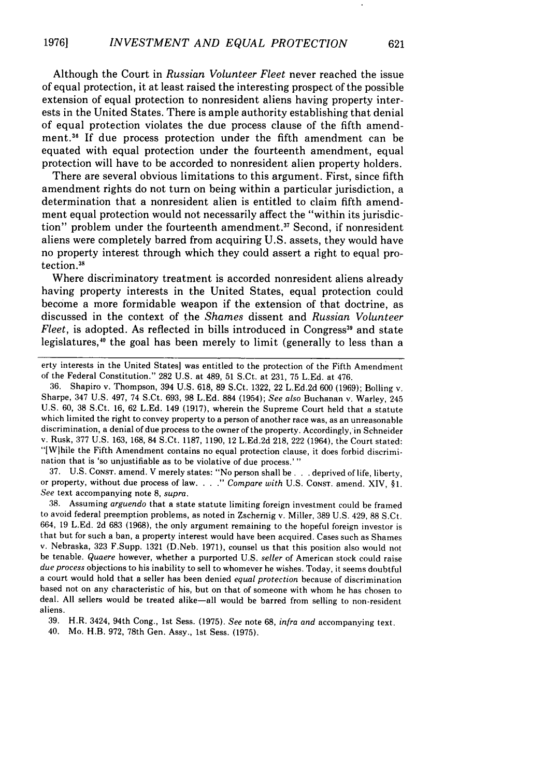Although the Court in *Russian Volunteer Fleet* never reached the issue of equal protection, it at least raised the interesting prospect of the possible extension of equal protection to nonresident aliens having property interests in the United States. There is ample authority establishing that denial of equal protection violates the due process clause of the fifth amendment.<sup>36</sup> If due process protection under the fifth amendment can be equated with equal protection under the fourteenth amendment, equal protection will have to be accorded to nonresident alien property holders.

There are several obvious limitations to this argument. First, since fifth amendment rights do not turn on being within a particular jurisdiction, a determination that a nonresident alien is entitled to claim fifth amendment equal protection would not necessarily affect the "within its jurisdiction" problem under the fourteenth amendment.<sup>37</sup> Second, if nonresident aliens were completely barred from acquiring U.S. assets, they would have no property interest through which they could assert a right to equal protection.<sup>38</sup>

Where discriminatory treatment is accorded nonresident aliens already having property interests in the United States, equal protection could become a more formidable weapon if the extension of that doctrine, as discussed in the context of the *Shames* dissent and *Russian Volunteer Fleet,* is adopted. As reflected in bills introduced in Congress<sup>39</sup> and state legislatures,40 the goal has been merely to limit (generally to less than a

37. U.S. CONST. amend. V merely states: "No person shall be ... deprived of life, liberty, or property, without due process of law. *Compare with* U.S. CONST. amend. XIV, §1. *See* text accompanying note 8, *supra.*

38. Assuming *arguendo* that a state statute limiting foreign investment could be framed to avoid federal preemption problems, as noted in Zschernig v. Miller, 389 U.S. 429, 88 S.Ct. 664, 19 L.Ed. 2d 683 (1968), the only argument remaining to the hopeful foreign investor is that but for such a ban, a property interest would have been acquired. Cases such as Shames v. Nebraska, 323 F.Supp. 1321 (D.Neb. 1971), counsel us that this position also would not be tenable. *Quaere* however, whether a purported U.S. *seller* of American stock could raise *due process* objections to his inability to sell to whomever he wishes. Today, it seems doubtful a court would hold that a seller has been denied *equal protection* because of discrimination based not on any characteristic of his, but on that of someone with whom he has chosen to deal. All sellers would be treated alike-all would be barred from selling to non-resident aliens.

39. H.R. 3424, 94th Cong., 1st Sess. (1975). *See* note 68, *infra and* accompanying text.

40. Mo. H.B. **972,** 78th Gen. Assy., 1st Sess. (1975).

erty interests in the United States] was entitled to the protection of the Fifth Amendment of the Federal Constitution." 282 U.S. at 489, 51 S.Ct. at 231, 75 L.Ed. at 476.

<sup>36.</sup> Shapiro v. Thompson, 394 U.S. 618, 89 S.Ct. 1322, 22 L.Ed.2d 600 (1969); Bolling v. Sharpe, 347 U.S. 497, 74 S.Ct. 693, 98 L.Ed. 884 (1954); *See also* Buchanan v. Warley, 245 U.S. 60, 38 S.Ct. 16, 62 L.Ed. 149 (1917), wherein the Supreme Court held that a statute which limited the right to convey property to a person of another race was, as an unreasonable discrimination, a denial of due process to the owner of the property. Accordingly, in Schneider v. Rusk, 377 U.S. 163, 168, 84 S.Ct. 1187, 1190, 12 L.Ed.2d 218, 222 (1964), the Court stated: "[Wlhile the Fifth Amendment contains no equal protection clause, it does forbid discrimination that is 'so unjustifiable as to be violative of due process.' **"**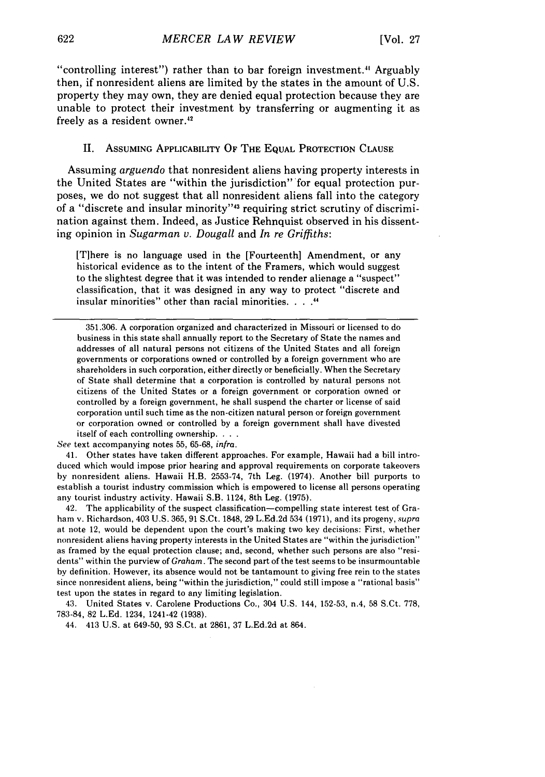"controlling interest") rather than to bar foreign investment. $4$  Arguably then, if nonresident aliens are limited by the states in the amount of U.S. property they may own, they are denied equal protection because they are unable to protect their investment by transferring or augmenting it as freely as a resident owner.<sup>42</sup>

# II. ASSUMING APPLICABILITY OF THE **EQUAL** PROTECTION **CLAUSE**

Assuming *arguendo* that nonresident aliens having property interests in the United States are "within the jurisdiction" for equal protection purposes, we do not suggest that all nonresident aliens fall into the category of a "discrete and insular minority"<sup>43</sup> requiring strict scrutiny of discrimination against them. Indeed, as Justice Rehnquist observed in his dissenting opinion in *Sugarman v. Dougall* and *In re Griffiths:*

[T]here is no language used in the [Fourteenth] Amendment, or any historical evidence as to the intent of the Framers, which would suggest to the slightest degree that it was intended to render alienage a "suspect" classification, that it was designed in any way to protect "discrete and insular minorities" other than racial minorities. **.... 44**

*See* text accompanying notes 55, 65-68, infra.

41. Other states have taken different approaches. For example, Hawaii had a bill introduced which would impose prior hearing and approval requirements on corporate takeovers by nonresident aliens. Hawaii H.B. 2553-74, 7th Leg. (1974). Another bill purports to establish a tourist industry commission which is empowered to license all persons operating any tourist industry activity. Hawaii S.B. 1124, 8th Leg. (1975).

42. The applicability of the suspect classification-compelling state interest test of Graham v. Richardson, 403 U.S. 365, 91 S.Ct. 1848, 29 L.Ed.2d 534 (1971), and its progeny, *supra* at note 12, would be dependent upon the court's making two key decisions: First, whether nonresident aliens having property interests in the United States are "within the jurisdiction" as framed by the equal protection clause; and, second, whether such persons are also "residents" within the purview of *Graham.* The second part of the test seems to be insurmountable by definition. However, its absence would not be tantamount to giving free rein to the states since nonresident aliens, being "within the jurisdiction," could still impose a "rational basis" test upon the states in regard to any limiting legislation.

43. United States v. Carolene Productions Co., 304 U.S. 144, 152-53, n.4, 58 S.Ct. 778, 783-84, 82 L.Ed. 1234, 1241-42 **(1938).**

44. 413 U.S. at 649-50, 93 S.Ct. at 2861, 37 L.Ed.2d at 864.

<sup>351.306.</sup> A corporation organized and characterized in Missouri or licensed to do business in this state shall annually report to the Secretary of State the names and addresses of all natural persons not citizens of the United States and all foreign governments or corporations owned or controlled by a foreign government who are shareholders in such corporation, either directly or beneficially. When the Secretary of State shall determine that a corporation is controlled by natural persons not citizens of the United States or a foreign government or corporation owned or controlled by a foreign government, he shall suspend the charter or license of said corporation until such time as the non-citizen natural person or foreign government or corporation owned or controlled by a foreign government shall have divested itself of each controlling ownership. . . .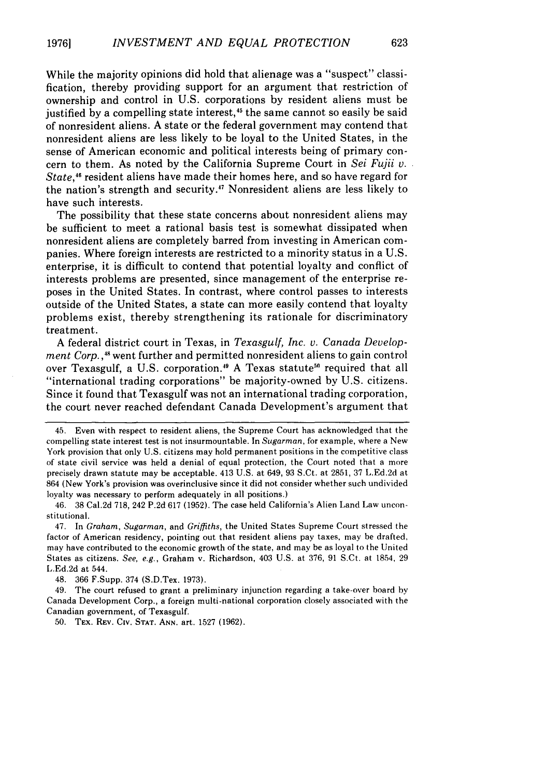While the majority opinions did hold that alienage was a "suspect" classification, thereby providing support for an argument that restriction of ownership and control in U.S. corporations by resident aliens must be justified by a compelling state interest,<sup>45</sup> the same cannot so easily be said of nonresident aliens. A state or the federal government may contend that nonresident aliens are less likely to be loyal to the United States, in the sense of American economic and political interests being of primary concern to them. As noted by the California Supreme Court in *Sei Fujii v. State,4"* resident aliens have made their homes here, and so have regard for the nation's strength and security.47 Nonresident aliens are less likely to have such interests.

The possibility that these state concerns about nonresident aliens may be sufficient to meet a rational basis test is somewhat dissipated when nonresident aliens are completely barred from investing in American companies. Where foreign interests are restricted to a minority status in a U.S. enterprise, it is difficult to contend that potential loyalty and conflict of interests problems are presented, since management of the enterprise reposes in the United States. In contrast, where control passes to interests outside of the United States, a state can more easily contend that loyalty problems exist, thereby strengthening its rationale for discriminatory treatment.

A federal district court in Texas, in *Texasgulf, Inc. v. Canada Development Corp.*,<sup>48</sup> went further and permitted nonresident aliens to gain control over Texasgulf, a U.S. corporation.<sup>49</sup> A Texas statute<sup>50</sup> required that all "international trading corporations" be majority-owned by U.S. citizens. Since it found that Texasgulf was not an international trading corporation, the court never reached defendant Canada Development's argument that

48. 366 F.Supp. 374 (S.D.Tex. 1973).

49. The court refused to grant a preliminary injunction regarding a take-over board by Canada Development Corp., a foreign multi-national corporation closely associated with the Canadian government, of Texasgulf.

50. TEX. REV. CIv. **STAT. ANN.** art. 1527 (1962).

<sup>45.</sup> Even with respect to resident aliens, the Supreme Court has acknowledged that the compelling state interest test is not insurmountable. In *Sugarman,* for example, where a New York provision that only U.S. citizens may hold permanent positions in the competitive class of state civil service was held a denial of equal protection, the Court noted that a more precisely drawn statute may be acceptable. 413 U.S. at 649, 93 S.Ct. at 2851, 37 L.Ed.2d at 864 (New York's provision was overinclusive since it did not consider whether such undivided loyalty was necessary to perform adequately in all positions.)

<sup>46. 38</sup> Cal.2d 718, 242 P.2d 617 (1952). The case held California's Alien Land Law unconstitutional.

<sup>47.</sup> In *Graham, Sugarman,* and *Griffiths,* the United States Supreme Court stressed the factor of American residency, pointing out that resident aliens pay taxes, may be drafted, may have contributed to the economic growth of the state, and may be as loyal to the United States as citizens. *See, e.g.,* Graham v. Richardson, 403 U.S. at 376, 91 S.Ct. at 1854, 29 L.Ed.2d at 544.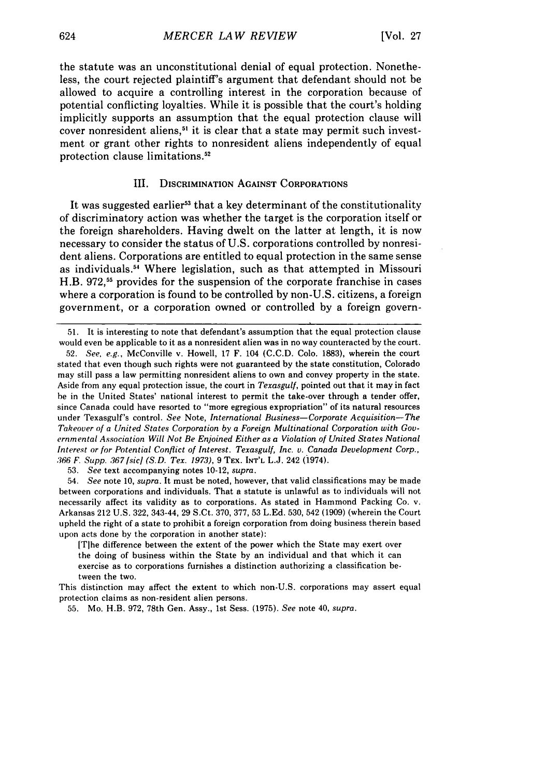the statute was an unconstitutional denial of equal protection. Nonetheless, the court rejected plaintiff's argument that defendant should not be allowed to acquire a controlling interest in the corporation because of potential conflicting loyalties. While it is possible that the court's holding implicitly supports an assumption that the equal protection clause will cover nonresident aliens,<sup>51</sup> it is clear that a state may permit such investment or grant other rights to nonresident aliens independently of equal protection clause limitations.52

## III. DISCRIMINATION **AGAINST** CORPORATIONS

It was suggested earlier<sup>53</sup> that a key determinant of the constitutionality of discriminatory action was whether the target is the corporation itself or the foreign shareholders. Having dwelt on the latter at length, it is now necessary to consider the status of U.S. corporations controlled by nonresident aliens. Corporations are entitled to equal protection in the same sense as individuals. 54 Where legislation, such as that attempted in Missouri H.B. 972, 55 provides for the suspension of the corporate franchise in cases where a corporation is found to be controlled by non-U.S. citizens, a foreign government, or a corporation owned or controlled by a foreign govern-

51. It is interesting to note that defendant's assumption that the equal protection clause would even be applicable to it as a nonresident alien was in no way counteracted by the court.

52. *See, e.g.,* McConville v. Howell, 17 F. 104 (C.C.D. Colo. 1883), wherein the court stated that even though such rights were not guaranteed by the state constitution, Colorado may still pass a law permitting nonresident aliens to own and convey property in the state. Aside from any equal protection issue, the court in *Texasgulf,* pointed out that it may in fact be in the United States' national interest to permit the take-over through a tender offer, since Canada could have resorted to "more egregious expropriation" of its natural resources under Texasgulf's control. *See* Note, *International Business-Corporate Acquisition-The* Takeover of a *United States Corporation by a Foreign Multinational Corporation with Gov*ernmental *Association Will Not Be Enjoined Either as a Violation of United States National Interest or for Potential Conflict of Interest. Texasgulf, Inc. v. Canada Development Corp., 366 F. Supp. .367 Jsic] (S.D. Tex. 1973),* 9 TEx. **INT'L** L.J. 242 (1974).

53. *See* text accompanying notes 10-12, *supra.*

54. *See* note 10, *supra.* It must be noted, however, that valid classifications may be made between corporations and individuals. That a statute is unlawful as to individuals will not necessarily affect its validity as to corporations. As stated in Hammond Packing Co. v. Arkansas 212 U.S. 322, 343-44, 29 S.Ct. 370, 377, 53 L.Ed. 530, 542 (1909) (wherein the Court upheld the right of a state to prohibit a foreign corporation from doing business therein based upon acts done by the corporation in another state):

[Tlhe difference between the extent of the power which the State may exert over the doing of business within the State by an individual and that which it can exercise as to corporations furnishes a distinction authorizing a classification between the two.

This distinction may affect the extent to which non-U.S. corporations may assert equal protection claims as non-resident alien persons.

55. Mo. H.B. 972, 78th Gen. Assy., 1st Sess. (1975). *See* note 40, supra.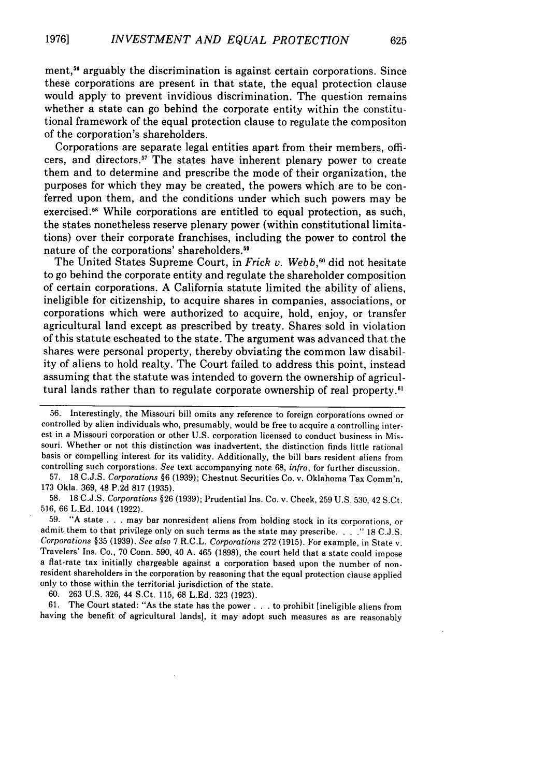ment,<sup>56</sup> arguably the discrimination is against certain corporations. Since these corporations are present in that state, the equal protection clause would apply to prevent invidious discrimination. The question remains whether a state can go behind the corporate entity within the constitutional framework of the equal protection clause to regulate the compositon of the corporation's shareholders.

Corporations are separate legal entities apart from their members, officers, and directors.<sup>57</sup> The states have inherent plenary power to create them and to determine and prescribe the mode of their organization, the purposes for which they may be created, the powers which are to be conferred upon them, and the conditions under which such powers may be exercised.<sup>58</sup> While corporations are entitled to equal protection, as such, the states nonetheless reserve plenary power (within constitutional limitations) over their corporate franchises, including the power to control the nature of the corporations' shareholders.<sup>59</sup>

The United States Supreme Court, in *Frick* v. *Webb,0* did not hesitate to go behind the corporate entity and regulate the shareholder composition of certain corporations. A California statute limited the ability of aliens, ineligible for citizenship, to acquire shares in companies, associations, or corporations which were authorized to acquire, hold, enjoy, or transfer agricultural land except as prescribed by treaty. Shares sold in violation of this statute escheated to the state. The argument was advanced that the shares were personal property, thereby obviating the common law disability of aliens to hold realty. The Court failed to address this point, instead assuming that the statute was intended to govern the ownership of agricultural lands rather than to regulate corporate ownership of real property.<sup>61</sup>

57. 18 C.J.S. *Corporations* §6 (1939); Chestnut Securities Co. v. Oklahoma Tax Comm'n, 173 Okla. 369, 48 P.2d 817 (1935).

58. 18 C.J.S. *Corporations* §26 (1939); Prudential Ins. Co. v. Cheek, 259 U.S. 530, 42 S.Ct. 516, 66 L.Ed. 1044 (1922).

59. "A state . **.**.may bar nonresident aliens from holding stock in its corporations, or admit them to that privilege only on such terms as the state may prescribe. . . . " 18 C.J.S. *Corporations* §35 (1939). *See also* 7 R.C.L. *Corporations* 272 (1915). For example, in State v. Travelers' Ins. Co., 70 Conn. 590, 40 A. 465 (1898), the court held that a state could impose a flat-rate tax initially chargeable against a corporation based upon the number of nonresident shareholders in the corporation by reasoning that the equal protection clause applied only to those within the territorial jurisdiction of the state.

60. 263 U.S. 326, 44 S.Ct. 115, 68 L.Ed. 323 (1923).

61. The Court stated: "As the state has the power **...** to prohibit [ineligible aliens from having the benefit of agricultural lands], it may adopt such measures as are reasonably

<sup>56.</sup> Interestingly, the Missouri bill omits any reference to foreign corporations owned or controlled by alien individuals who, presumably, would be free to acquire a controlling interest in a Missouri corporation or other U.S. corporation licensed to conduct business in Missouri. Whether or not this distinction was inadvertent, the distinction finds little rational basis or compelling interest for its validity. Additionally, the bill bars resident aliens from controlling such corporations. *See* text accompanying note 68, *infra,* for further discussion.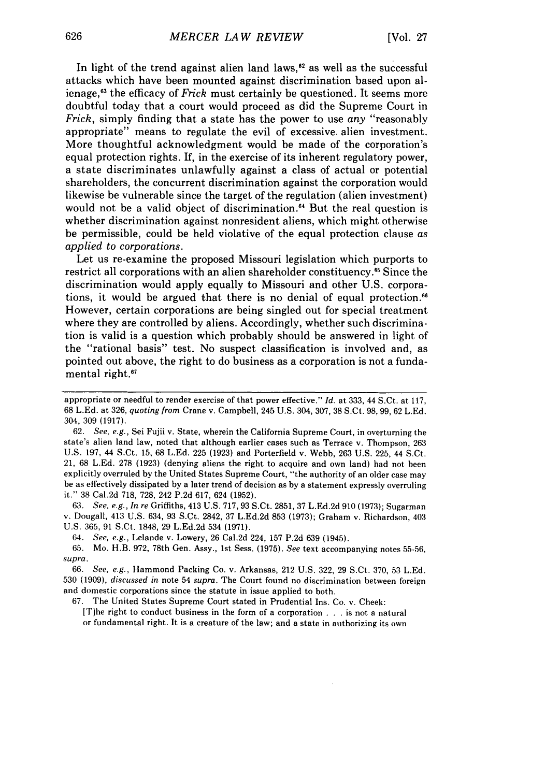In light of the trend against alien land laws, $^{62}$  as well as the successful attacks which have been mounted against discrimination based upon alienage,11 the efficacy of *Frick* must certainly be questioned. It seems more doubtful today that a court would proceed as did the Supreme Court in *Frick,* simply finding that a state has the power to use *any* "reasonably appropriate" means to regulate the evil of excessive. alien investment. More thoughtful acknowledgment would be made of the corporation's equal protection rights. If, in the exercise of its inherent regulatory power, a state discriminates unlawfully against a class of actual or potential shareholders, the concurrent discrimination against the corporation would likewise be vulnerable since the target of the regulation (alien investment) would not be a valid object of discrimination.<sup>64</sup> But the real question is whether discrimination against nonresident aliens, which might otherwise be permissible, could be held violative of the equal protection clause *as applied to corporations.*

Let us re-examine the proposed Missouri legislation which purports to restrict all corporations with an alien shareholder constituency.<sup>65</sup> Since the discrimination would apply equally to Missouri and other **U.S.** corporations, it would be argued that there is no denial of equal protection. However, certain corporations are being singled out for special treatment where they are controlled **by** aliens. Accordingly, whether such discrimination is valid is a question which probably should be answered in light of the "rational basis" test. No suspect classification is involved and, as pointed out above, the right to do business as a corporation is not a fundamental right. $67$ 

**62.** *See, e.g.,* Sei Fujii v. State, wherein the California Supreme Court, in overturning the state's alien land law, noted that although earlier cases such as Terrace v. Thompson, **263 U.S. 197,** 44 S.Ct. **15, 68 L.Ed. 225 (1923)** and Porterfield v. Webb, **263 U.S. 225,** 44 S.Ct. 21, **68 L.Ed. 278 (1923)** (denying aliens the right to acquire and own land) had not been explicitly overruled **by** the United States Supreme Court, "the authority of an older case may be as effectively dissipated **by** a later trend of decision as **by** a statement expressly overruling it." **38** Cal.2d **718, 728,** 242 **P.2d 617,** 624 **(1952).**

**63.** *See, e.g., In re* Griffiths, 413 **U.S. 717, 93** S.Ct. **2851, 37 L.Ed.2d 910 (1973);** Sugarman v. Dougall, 413 **U.S.** 634, **93** S.Ct. 2842, **37 L.Ed.2d 853 (1973);** Graham v. Richardson, 403 **U.S. 365, 91** S.Ct. **1848, 29 L.Ed.2d** 534 **(1971).**

64. *See, e.g.,* Lelande v. Lowery, **26** Cal.2d 224, **157 P.2d 639** (1945).

**65.** Mo. H.B. **972,** 78th Gen. Assy., 1st Sess. **(1975).** *See* text accompanying notes **55-56,** *supra.*

**66.** *See, e.g.,* Hammond Packing Co. v. Arkansas, 212 **U.S. 322, 29** S.Ct. **370, 53 L.Ed. 530 (1909),** *discussed in* note 54 *supra.* The Court found no discrimination between foreign and domestic corporations since the statute in issue applied to both.

**67.** The United States Supreme Court stated in Prudential Ins. Co. v. Cheek:

[Tihe right to conduct business in the form of a corporation **. ..**is not a natural or fundamental right. It is a creature of the law; and a state in authorizing its own

appropriate or needful to render exercise of that power effective." *Id.* at **333,** 44 S.Ct. at **117, 68 L.Ed.** at **326,** *quoting from* Crane v. Campbell, 245 **U.S.** 304, **307, 38** S.Ct. **98, 99, 62 L.Ed.** 304, **309 (1917).**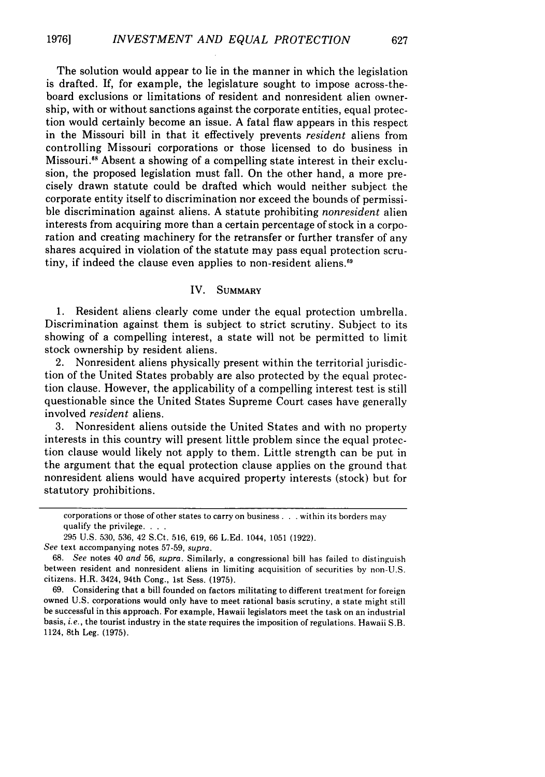The solution would appear to lie in the manner in which the legislation is drafted. If, for example, the legislature sought to impose across-theboard exclusions or limitations of resident and nonresident alien ownership, with or without sanctions against the corporate entities, equal protection would certainly become an issue. A fatal flaw appears in this respect in the Missouri bill in that it effectively prevents *resident* aliens from controlling Missouri corporations or those licensed to do business in Missouri." Absent a showing of a compelling state interest in their exclusion, the proposed legislation must fall. On the other hand, a more precisely drawn statute could be drafted which would neither subject the corporate entity itself to discrimination nor exceed the bounds of permissible discrimination against aliens. A statute prohibiting *nonresident* alien interests from acquiring more than a certain percentage of stock in a corporation and creating machinery for the retransfer or further transfer of any shares acquired in violation of the statute may pass equal protection scrutiny, if indeed the clause even applies to non-resident aliens.<sup>69</sup>

#### IV. **SUMMARY**

**1.** Resident aliens clearly come under the equal protection umbrella. Discrimination against them is subject to strict scrutiny. Subject to its showing of a compelling interest, a state will not be permitted to limit stock ownership **by** resident aliens.

2. Nonresident aliens physically present within the territorial jurisdiction of the United States probably are also protected **by** the equal protection clause. However, the applicability of a compelling interest test is still questionable since the United States Supreme Court cases have generally involved *resident* aliens.

**3.** Nonresident aliens outside the United States and with no property interests in this country will present little problem since the equal protection clause would likely not apply to them. Little strength can be put in the argument that the equal protection clause applies on the ground that nonresident aliens would have acquired property interests (stock) but for statutory prohibitions.

**69.** Considering that a bill founded on factors militating to different treatment for foreign owned **U.S.** corporations would only have to meet rational basis scrutiny, a state might still be successful in this approach. For example, Hawaii legislators meet the task on an industrial basis, *i.e.,* the tourist industry in the state requires the imposition of regulations. Hawaii S.B. 1124, 8th Leg. **(1975).**

corporations or those of other states to carry on business **...** within its borders may qualify the privilege **. ..**

**<sup>295</sup> U.S. 530, 536,** 42 S.Ct. **516, 619, 66 L.Ed.** 1044, **1051 (1922).**

*See* text accompanying notes **57-59,** *supra.*

**<sup>68.</sup>** *See* notes 40 *and* **56,** *supra.* Similarly, a congressional bill has failed to distinguish between resident and nonresident aliens in limiting acquisition of securities **by** non-U.S. citizens. H.R. 3424, 94th Cong., **1st** Sess. **(1975).**